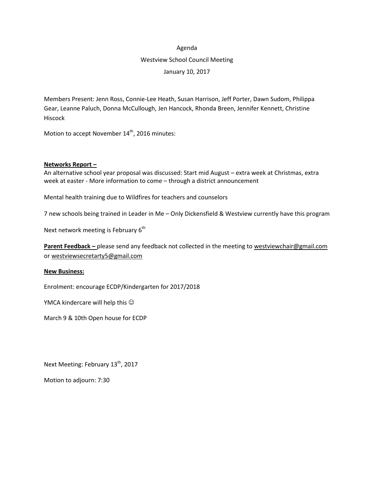#### Agenda

# Westview School Council Meeting

January 10, 2017

Members Present: Jenn Ross, Connie-Lee Heath, Susan Harrison, Jeff Porter, Dawn Sudom, Philippa Gear, Leanne Paluch, Donna McCullough, Jen Hancock, Rhonda Breen, Jennifer Kennett, Christine Hiscock

Motion to accept November 14<sup>th</sup>, 2016 minutes:

## **Networks Report –**

An alternative school year proposal was discussed: Start mid August – extra week at Christmas, extra week at easter - More information to come – through a district announcement

Mental health training due to Wildfires for teachers and counselors

7 new schools being trained in Leader in Me – Only Dickensfield & Westview currently have this program

Next network meeting is February 6<sup>th</sup>

**Parent Feedback –** please send any feedback not collected in the meeting to [westviewchair@gmail.com](mailto:westviewchair@gmail.com) or [westviewsecretarty5@gmail.com](mailto:westviewsecretarty5@gmail.com)

#### **New Business:**

Enrolment: encourage ECDP/Kindergarten for 2017/2018

YMCA kindercare will help this  $\odot$ 

March 9 & 10th Open house for ECDP

Next Meeting: February 13<sup>th</sup>, 2017

Motion to adjourn: 7:30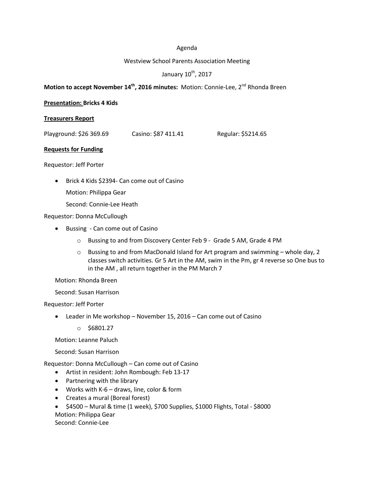#### Agenda

#### Westview School Parents Association Meeting

# January 10<sup>th</sup>, 2017

# **Motion to accept November 14th , 2016 minutes:** Motion: Connie-Lee, 2 nd Rhonda Breen

#### **Presentation: Bricks 4 Kids**

#### **Treasurers Report**

|  | Playground: \$26 369.69 | Casino: \$87 411.41 | Regular: \$5214.65 |
|--|-------------------------|---------------------|--------------------|
|--|-------------------------|---------------------|--------------------|

#### **Requests for Funding**

Requestor: Jeff Porter

- Brick 4 Kids \$2394- Can come out of Casino Motion: Philippa Gear
	- Second: Connie-Lee Heath

Requestor: Donna McCullough

- Bussing Can come out of Casino
	- o Bussing to and from Discovery Center Feb 9 Grade 5 AM, Grade 4 PM
	- $\circ$  Bussing to and from MacDonald Island for Art program and swimming whole day, 2 classes switch activities. Gr 5 Art in the AM, swim in the Pm, gr 4 reverse so One bus to in the AM , all return together in the PM March 7

Motion: Rhonda Breen

Second: Susan Harrison

Requestor: Jeff Porter

- Leader in Me workshop November 15, 2016 Can come out of Casino
	- $\circ$  \$6801.27

Motion: Leanne Paluch

Second: Susan Harrison

Requestor: Donna McCullough – Can come out of Casino

- Artist in resident: John Rombough: Feb 13-17
- Partnering with the library
- Works with K-6 draws, line, color & form
- Creates a mural (Boreal forest)
- $\bullet$  \$4500 Mural & time (1 week), \$700 Supplies, \$1000 Flights, Total \$8000 Motion: Philippa Gear Second: Connie-Lee